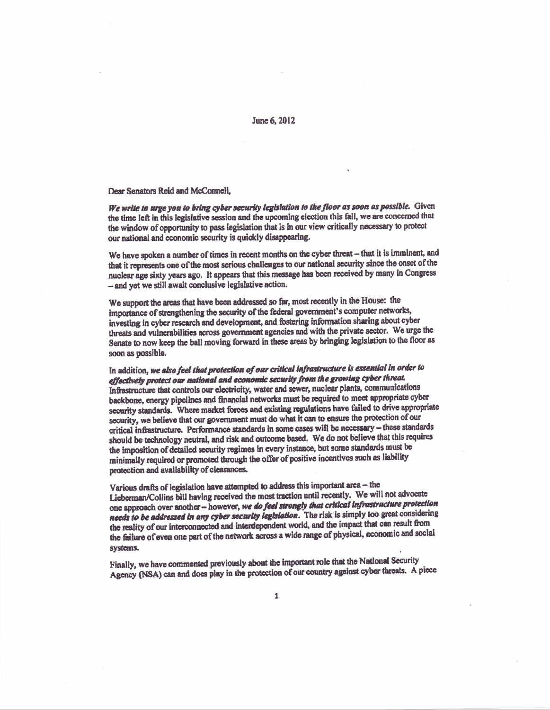## June 6, 2012

Dear Senators Reid and McConnell,

We write to urge you to bring cyber security legislation to the floor as soon as possible. Given the time left in this legislative session and the upcoming election this fall, we are concerned that the window of opportunity to pass legislation that is in our view critically necessary to protect our national and economic security is quickly disappearing.

We have spoken a number of times in recent months on the cyber threat - that it is imminent, and that it represents one of the most serious challenges to our national security since the onset of the nuclear age sixty years ago. It appears that this message has been received by many in Congress - and yet we still await conclusive legislative action.

We support the areas that have been addressed so far, most recently in the House: the importance of strengthening the security of the federal government's computer networks, investing in cyber research and development, and fostering information sharing about cyber threats and vulnerabilities across government agencies and with the private sector. We urge the Senate to now keep the ball moving forward in these areas by bringing legislation to the floor as soon as possible.

In addition, we also feel that protection of our critical infrastructure is essential in order to effectively protect our national and economic security from the growing cyber threat. Infrastructure that controls our electricity, water and sewer, nuclear plants, communications backbone, energy pipelines and financial networks must be required to meet appropriate cyber security standards. Where market forces and existing regulations have failed to drive appropriate security, we believe that our government must do what it can to ensure the protection of our critical infrastructure. Performance standards in some cases will be necessary - these standards should be technology neutral, and risk and outcome based. We do not believe that this requires the imposition of detailed security regimes in every instance, but some standards must be minimally required or promoted through the offer of positive incentives such as liability protection and availability of clearances.

Various drafts of legislation have attempted to address this important area - the Lieberman/Collins bill having received the most traction until recently. We will not advocate one approach over another -- however, we do feel strongly that critical infrastructure protection needs to be addressed in any cyber security legislation. The risk is simply too great considering the reality of our interconnected and interdependent world, and the impact that can result from the failure of even one part of the network across a wide range of physical, economic and social systems.

Finally, we have commented previously about the important role that the National Security Agency (NSA) can and does play in the protection of our country against cyber threats. A piece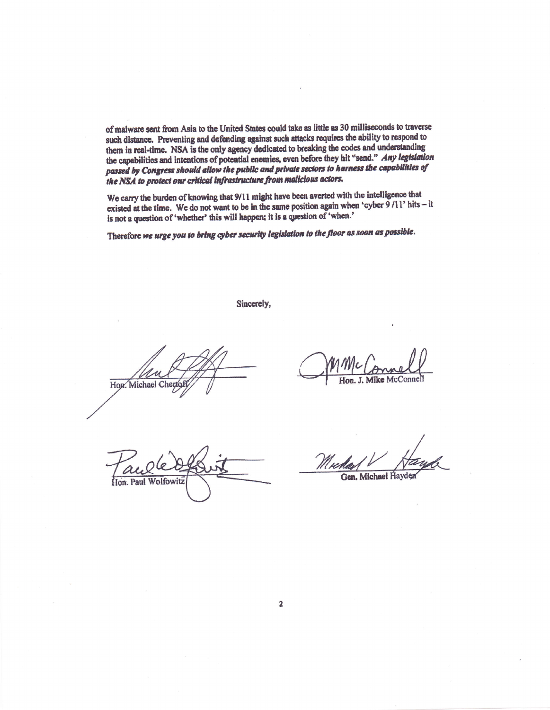of malware sent from Asia to the United States could take as little as 30 milliseconds to traverse such distance. Preventing and defending against such attacks requires the ability to respond to them in real-time. NSA is the only agency dedicated to breaking the codes and understanding the capabilities and intentions of potential enemies, even before they hit "send." Any legislation passed by Congress should allow the public and private sectors to harness the capabilities of the NSA to protect our critical infrastructure from malicious actors.

We carry the burden of knowing that 9/11 might have been averted with the intelligence that existed at the time. We do not want to be in the same position again when 'cyber  $9/11$ ' hits - it is not a question of 'whether' this will happen; it is a question of 'when.'

Therefore we urge you to bring cyber security legislation to the floor as soon as possible.

Sincerely,

How. Michael Chert

Hon. J. Mike McC

Wolfowitz

Gen. Michael Hayder